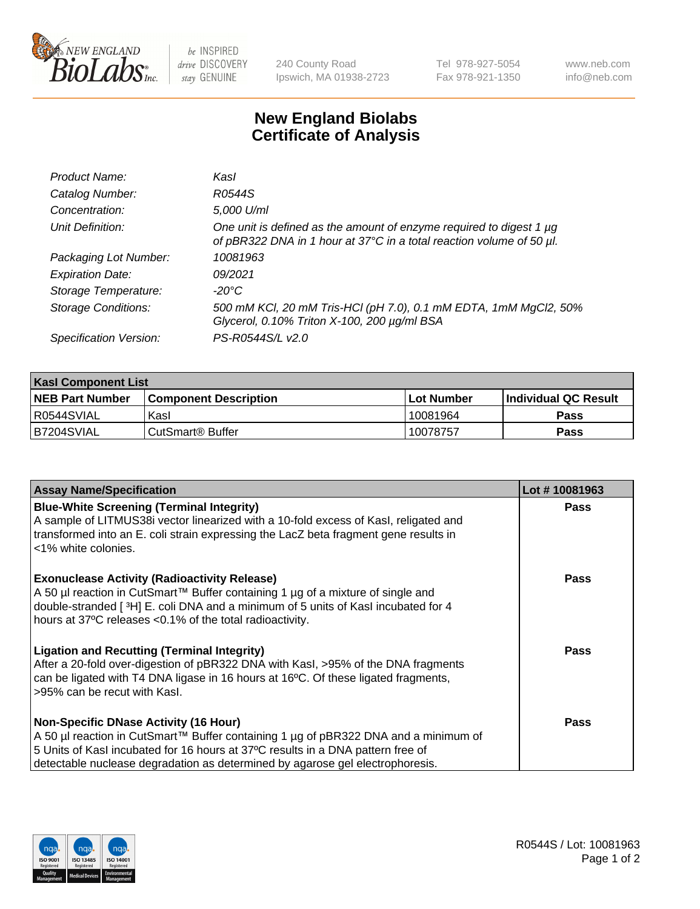

be INSPIRED drive DISCOVERY stay GENUINE

240 County Road Ipswich, MA 01938-2723 Tel 978-927-5054 Fax 978-921-1350

www.neb.com info@neb.com

## **New England Biolabs Certificate of Analysis**

| Product Name:              | Kasl                                                                                                                                             |
|----------------------------|--------------------------------------------------------------------------------------------------------------------------------------------------|
| Catalog Number:            | R0544S                                                                                                                                           |
| Concentration:             | 5,000 U/ml                                                                                                                                       |
| Unit Definition:           | One unit is defined as the amount of enzyme required to digest 1 $\mu$ g<br>of pBR322 DNA in 1 hour at 37°C in a total reaction volume of 50 µl. |
| Packaging Lot Number:      | 10081963                                                                                                                                         |
| <b>Expiration Date:</b>    | 09/2021                                                                                                                                          |
| Storage Temperature:       | -20°C                                                                                                                                            |
| <b>Storage Conditions:</b> | 500 mM KCl, 20 mM Tris-HCl (pH 7.0), 0.1 mM EDTA, 1mM MgCl2, 50%<br>Glycerol, 0.10% Triton X-100, 200 µg/ml BSA                                  |
| Specification Version:     | PS-R0544S/L v2.0                                                                                                                                 |

| <b>Kasl Component List</b> |                              |                   |                             |  |  |
|----------------------------|------------------------------|-------------------|-----------------------------|--|--|
| <b>NEB Part Number</b>     | <b>Component Description</b> | <b>Lot Number</b> | <b>Individual QC Result</b> |  |  |
| I R0544SVIAL               | Kasl                         | 10081964          | <b>Pass</b>                 |  |  |
| B7204SVIAL                 | l CutSmart® Buffer           | 10078757          | Pass                        |  |  |

| <b>Assay Name/Specification</b>                                                                                                                                                                                                                                                                         | Lot #10081963 |
|---------------------------------------------------------------------------------------------------------------------------------------------------------------------------------------------------------------------------------------------------------------------------------------------------------|---------------|
| <b>Blue-White Screening (Terminal Integrity)</b><br>A sample of LITMUS38i vector linearized with a 10-fold excess of Kasl, religated and<br>transformed into an E. coli strain expressing the LacZ beta fragment gene results in<br><1% white colonies.                                                 | <b>Pass</b>   |
| <b>Exonuclease Activity (Radioactivity Release)</b><br>A 50 µl reaction in CutSmart™ Buffer containing 1 µg of a mixture of single and<br>double-stranded [3H] E. coli DNA and a minimum of 5 units of Kasl incubated for 4<br>hours at 37°C releases <0.1% of the total radioactivity.                 | <b>Pass</b>   |
| <b>Ligation and Recutting (Terminal Integrity)</b><br>After a 20-fold over-digestion of pBR322 DNA with Kasl, >95% of the DNA fragments<br>can be ligated with T4 DNA ligase in 16 hours at 16°C. Of these ligated fragments,<br>>95% can be recut with Kasl.                                           | <b>Pass</b>   |
| <b>Non-Specific DNase Activity (16 Hour)</b><br>A 50 µl reaction in CutSmart™ Buffer containing 1 µg of pBR322 DNA and a minimum of<br>5 Units of Kasl incubated for 16 hours at 37°C results in a DNA pattern free of<br>detectable nuclease degradation as determined by agarose gel electrophoresis. | Pass          |